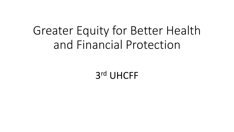# Greater Equity for Better Health and Financial Protection

3 rd UHCFF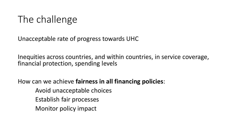### The challenge

Unacceptable rate of progress towards UHC

Inequities across countries, and within countries, in service coverage, financial protection, spending levels

How can we achieve **fairness in all financing policies**:

Avoid unacceptable choices Establish fair processes Monitor policy impact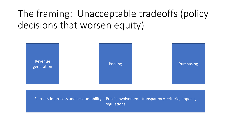## The framing: Unacceptable tradeoffs (policy decisions that worsen equity)



Fairness in process and accountability – Public involvement, transparency, criteria, appeals, regulations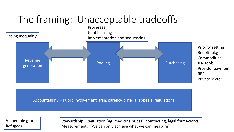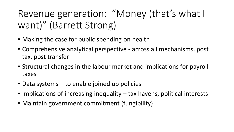## Revenue generation: "Money (that's what I want)" (Barrett Strong)

- Making the case for public spending on health
- Comprehensive analytical perspective across all mechanisms, post tax, post transfer
- Structural changes in the labour market and implications for payroll taxes
- Data systems to enable joined up policies
- Implications of increasing inequality tax havens, political interests
- Maintain government commitment (fungibility)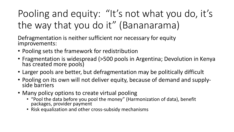## Pooling and equity: "It's not what you do, it's the way that you do it" (Bananarama)

Defragmentation is neither sufficient nor necessary for equity improvements:

- Pooling sets the framework for redistribution
- Fragmentation is widespread (>500 pools in Argentina; Devolution in Kenya has created more pools)
- Larger pools are better, but defragmentation may be politically difficult
- Pooling on its own will not deliver equity, because of demand and supplyside barriers
- Many policy options to create virtual pooling
	- "Pool the data before you pool the money" (Harmonization of data), benefit packages, provider payment
	- Risk equalization and other cross-subsidy mechanisms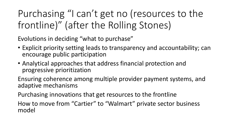Purchasing "I can't get no (resources to the frontline)" (after the Rolling Stones)

Evolutions in deciding "what to purchase"

- Explicit priority setting leads to transparency and accountability; can encourage public participation
- Analytical approaches that address financial protection and progressive prioritization

Ensuring coherence among multiple provider payment systems, and adaptive mechanisms

Purchasing innovations that get resources to the frontline

How to move from "Cartier" to "Walmart" private sector business model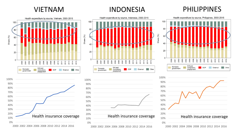### VIETNAM INDONESIA PHILIPPINES

2000 2002 2004 2006 2008 2010 2012 2014 2016

Health insurance coverage

0% 10% 20%

2000 2002 2004 2006 2008 2010 2012 2014 2016

Health insurance coverage



0% 10% 20%

2000 2002 2004 2006 2008 2010 2012 2014 2016

Health insurance coverage

2014<br>2015

**Other** 

2013

2012

0% 10% 20%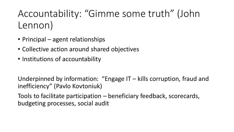Accountability: "Gimme some truth" (John Lennon)

- Principal agent relationships
- Collective action around shared objectives
- Institutions of accountability

Underpinned by information: "Engage IT – kills corruption, fraud and inefficiency" (Pavlo Kovtoniuk)

Tools to facilitate participation – beneficiary feedback, scorecards, budgeting processes, social audit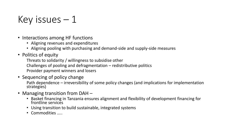### Key issues  $-1$

- Interactions among HF functions
	- Aligning revenues and expenditures
	- Aligning pooling with purchasing and demand-side and supply-side measures
- Politics of equity

Threats to solidarity / willingness to subsidise other Challenges of pooling and defragmentation – redistributive politics Provider payment winners and losers

- Sequencing of policy change Path dependence – irreversibility of some policy changes (and implications for implementation strategies)
- Managing transition from DAH
	- Basket financing in Tanzania ensures alignment and flexibility of development financing for frontline services
	- Using transition to build sustainable, integrated systems
	- Commodities …..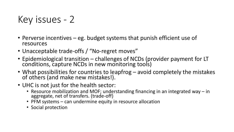### Key issues - 2

- Perverse incentives eg. budget systems that punish efficient use of resources
- Unacceptable trade-offs / "No-regret moves"
- Epidemiological transition challenges of NCDs (provider payment for LT conditions, capture NCDs in new monitoring tools)
- What possibilities for countries to leapfrog avoid completely the mistakes of others (and make new mistakes!).
- UHC is not just for the health sector:
	- Resource mobilization and MOF; understanding financing in an integrated way in aggregate, net of transfers. (trade-off)
	- PFM systems can undermine equity in resource allocation
	- Social protection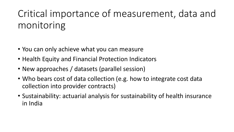## Critical importance of measurement, data and monitoring

- You can only achieve what you can measure
- Health Equity and Financial Protection Indicators
- New approaches / datasets (parallel session)
- Who bears cost of data collection (e.g. how to integrate cost data collection into provider contracts)
- Sustainability: actuarial analysis for sustainability of health insurance in India